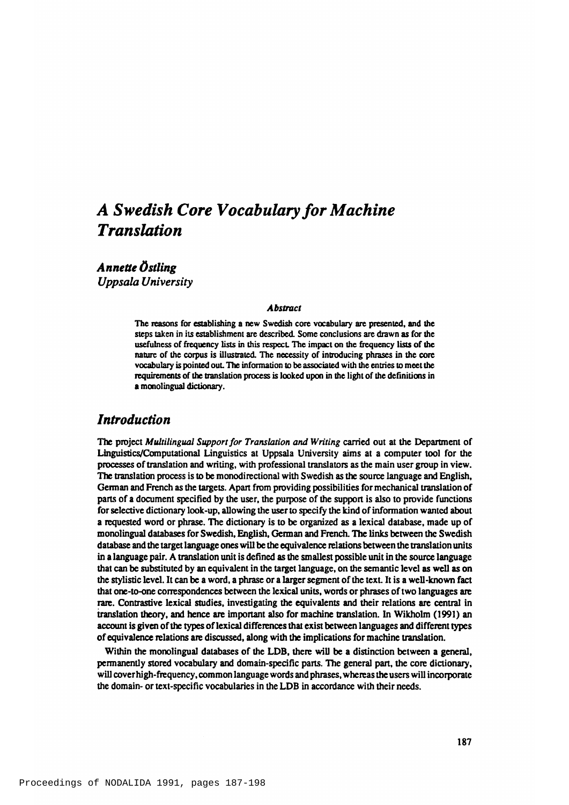# *A Swedish Core Vocabulary for Machine Translation*

*Annette Ostling Uppsala University*

#### *A bstract*

The reasons for establishing a new Swedish core vocabulary are presented, and the steps taken in its establishment are described. Some conclusions are drawn as for the usefulness of frequency lists in this respect. The impact on the frequency lists of the nature of the corpus is illustrated. The necessity of introducing phrases in the core vocabulary is pointed out. The information to be associated with the entries to meet the requirements of the translation process is looked upon in the light of the definitions in a monolingual dictionary.

### *Introduction*

The project *Multilingual Support for Translation and Writing* carried out at the Department of Linguistics/Computational Linguistics at Uppsala University aims at a computer tool for the processes of translation and writing, with professional translators as the main user group in view. The translation process is to be monodirectional with Swedish as the source language and English, German and French as the targets. Apart from providing possibilities for mechanical translation of parts of a document specified by the user, the purpose of the support is also to provide functions for selective dictionary look-up, allowing the user to specify the kind of information wanted about a requested word or phrase. The dictionary is to be organized as a lexical database, made up of monolingual databases for Swedish, English, German and French. The links between the Swedish database and the target language ones will be the equivalence relations between the translation units in a language pair. A translation unit is defined as the smallest possible unit in the source language that can be substituted by an equivalent in the target language, on the semantic level as well as on the stylistic level. It can be a word, a phrase or a larger segment of the text. It is a well-known fact that one-to-one correspondences between the lexical units, words or phrases of two languages are rare. Contrastive lexical studies, investigating the equivalents and their relations are central in translation theory, and hence are important also for machine translation. In Wikholm (1991) an account is given of the types of lexical differences that exist between languages and different types of equivalence relations are discussed, along with the implications for machine translation.

Within the monolingual databases of the LDB, there will be a distinction between a general, permanently stored vocabulary and domain-specific parts. The general part, the core dictionary, will cover high-frequency, common language words and phrases, whereas the users will incorporate the domain- or text-specific vocabularies in the LDB in accordance with their needs.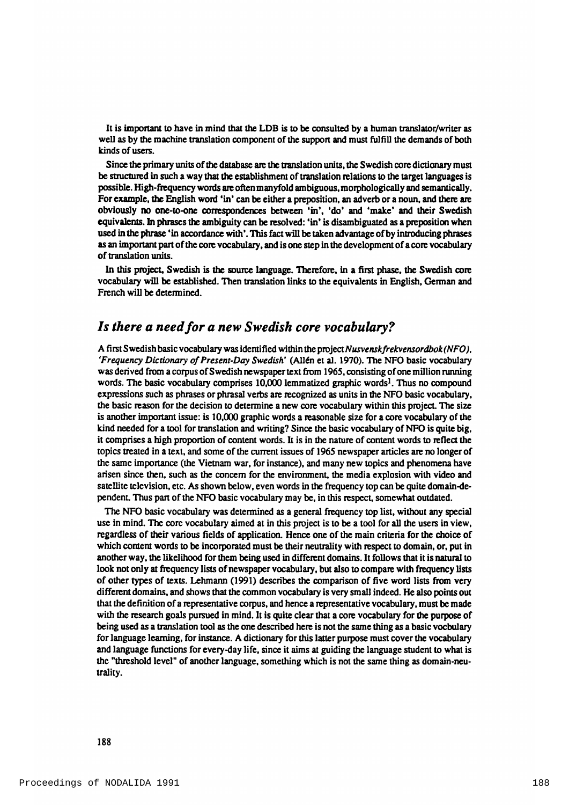It is important to have in mind that the LDB is to be consulted by a human translator/writer as well as by the machine translation component of the support and must fulfill the demands of both kinds of users.

Since the primary units of the database are the translation units, the Swedish core dictionary must be structured in such a way that the establishment of translation relations to the target languages is possible. High-frequency words are often manyfold ambiguous, morphologically and semantically. For example, the English word 'in' can be either a preposition, an adverb or a noun, and there are obviously no one-to-one correspondences between 'in', 'do' and 'make' and their Swedish equivalents. In phrases the ambiguity can be resolved: 'in' is disambiguated as a preposition when used in the phrase 'in accordance with'. This fact will be taken advantage of by introducing phrases as an important part of the core vocabulary, and is one step in the development of a core vocabulary of translation units.

In this project, Swedish is the source language. Therefore, in a first phase, the Swedish core vocabulary will be established. Then translation links to the equivalents in English, German and French will be determined.

### *Is there a need for a new Swedish core vocabulary?*

A first Swedish basic vocabulary was identified within the project Nusvensk frekvensordbok (NFO), 'F requency Dictionary of Present-Day Swedish' (Allén et al. 1970). The NFO basic vocabulary was derived from a corpus of Swedish newspaper text from 1965, consisting of one million running words. The basic vocabulary comprises 10,000 lemmatized graphic words<sup>1</sup>. Thus no compound expressions such as phrases or phrasal verbs are recognized as units in the NFO basic vocabulary, the basic reason for the decision to determine a new core vocabulary within this project. The size is another important issue: is 10,000 graphic words a reasonable size for a core vocabulary of the kind needed for a tool for translation and writing? Since the basic vocabulary of NFO is quite big, it comprises a high proportion of content words. It is in the nature of content words to reflect the to pics treated in a text, and some of the current issues of 1965 newspaper articles are no longer of the same importance (the Vietnam war, for instance), and many new topics and phenomena have arisen since then, such as the concern for the environment, the media explosion with video and satellite television, etc. As shown below, even words in the frequency top can be quite domain-dependent. Thus part of the NFO basic vocabulary may be, in this respect, somewhat outdated.

The NFO basic vocabulary was determined as a general frequency top list, without any special use in mind. The core vocabulary aimed at in this project is to be a tool for all the users in view, regardless of their various fields of application. Hence one of the main criteria for the choice of which content words to be incorporated must be their neutrality with respect to domain, or, put in another way, the likelihood for them being used in different domains. It follows that it is natural to look not only at frequency lists of newspaper vocabulary, but also to compare with frequency lists of other types of texts. Lehmann (1991) describes the comparison of five word lists from very different domains, and shows that the common vocabulary is very small indeed. He also points out that the definition of a representative corpus, and hence a representative vocabulary, must be made with the research goals pursued in mind. It is quite clear that a core vocabulary for the purpose of being used as a translation tool as the one described here is not the same thing as a basic vocbulary for language learning, for instance. A dictionary for this latter purpose must cover the vocabulary and language functions for every-day life, since it aims at guiding the language student to what is the "threshold level" of another language, something which is not the same thing as domain-neutrality.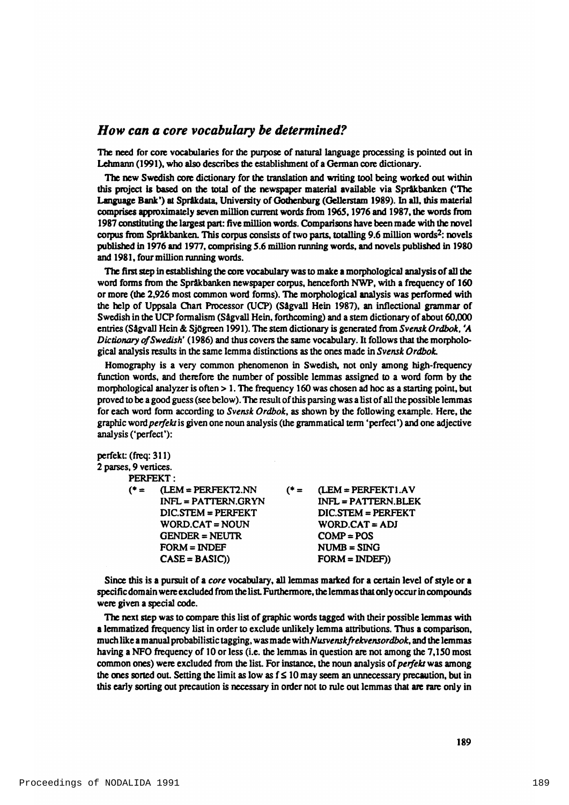### *How can a core vocabulary be determined?*

The need for core vocabularies for the purpose of natural language processing is pointed out in Lehmann (1991), who also describes the establishment of a German core dictionary.

The new Swedish core dictionary for the translation and writing tool being worked out within this project is based on the total of the newspaper material available via Språkbanken ('The Language Bank') at Språkdata, University of Gothenburg (Gellerstam 1989). In all, this material comprises approximately seven million current words from 1965, 1976 and 1987, the words from 1987 constituting the largest part: five million words. Comparisons have been made with the novel corpus from Språkbanken. This corpus consists of two parts, totalling 9.6 million words<sup>2</sup>: novels published in 1976 and 1977, comprising 5.6 million running words, and novels published in 1980 and 1981, four million running words.

The first step in establishing the core vocabulary was to make a morphological analysis of all the word forms from the Språkbanken new spaper corpus, henceforth NWP, with a frequency of 160 or more (the 2,926 most common word forms). The morphological analysis was performed with the help of Uppsala Chart Processor (UCP) (Sågvall Hein 1987), an inflectional grammar of Swedish in the UCP formalism (Sågvall Hein, forthcoming) and a stem dictionary of about 60,000 entries (Sågvall Hein & Sjögreen 1991). The stem dictionary is generated from *Svensk Ordbok*, 'A *Dictionary of Swedish'* (1986) and thus covers the same vocabulary. It follows that the morphological analysis results in the same lemma distinctions as the ones made in *Svensk Ordbok*.

Homography is a very common phenomenon in Swedish, not only among high-frequency function words, and therefore the number of possible lemmas assigned to a word form by the morphological analyzer is often  $> 1$ . The frequency 160 was chosen ad hoc as a starting point, but proved to be a good guess (see below). The result of this parsing was a list of all the possible lemmas for each word form according to *Svensk Ordbok*, as shown by the following example. Here, the graphic word *perfekt* is given one noun analysis (the grammatical term 'perfect') and one adjective analysis ('perfect'):

perfekt: (freq: 311) 2 parses, 9 vertices.

PERFFKT ·

|      | rearen .                |        |                       |
|------|-------------------------|--------|-----------------------|
| (* = | (LEM = PERFEKT2.NN      | $(4 =$ | $(LEM = PERFEKT1.AV)$ |
|      | INFL = PATTERN.GRYN     |        | INFL = PATTERN.BLEK   |
|      | $DIC.$ $STEM = PERFEKT$ |        | DIC STEM = PERFEKT    |
|      | WORD.CAT = NOUN         |        | $WORD.CAT = ADJ$      |
|      | $GENDER = NEUTR$        |        | $COMP = POS$          |
|      | $FORM = INDEF$          |        | $NUMB = SING$         |
|      | $CASE = BASIC()$        |        | $FORM = INDEF)$       |
|      |                         |        |                       |

Since this is a pursuit of a *core* vocabulary, all lemmas marked for a certain level of style or a specific domain were excluded from the list. Furthermore, the lemmas that only occur in compounds were given a special code.

The next step was to compare this list of graphic words tagged with their possible lemmas with a lemmatized frequency list in order to exclude unlikely lemma attributions. Thus a comparison, much like a m anual probabilistic tagging, was made with Nusvensk frekvensordbok, and the lemmas having a NFO frequency of 10 or less (i.e. the lemmas in question are not among the 7,150 most common ones) were excluded from the list. For instance, the noun analysis of *perfekt* was among the ones sorted out. Setting the limit as low as  $f \le 10$  may seem an unnecessary precaution, but in this early sorting out precaution is necessary in order not to rule out lemmas that are rare only in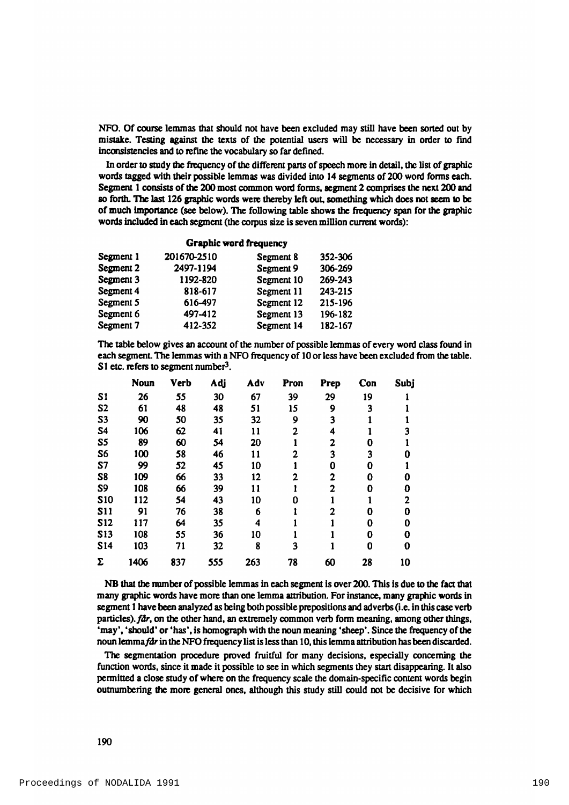NFO. Of course lemmas that should not have been excluded may still have been sorted out by mistake. Testing against the texts of the potential users will be necessary in order to find inconsistencies and to refine the vocabulary so far defined.

In order to study the frequency of the different parts of speech more in detail, the list of graphic words tagged with their possible lemmas was divided into 14 segments of 200 word forms each. Segment 1 consists of the 200 most common word forms, segment 2 comprises the next 200 and so forth. The last 126 graphic words were thereby left out, something which does not seem to be of much importance (see below). The following table shows the frequency span for the graphic words included in each segment (the corpus size is seven million current words):

#### Graphic word frequency

| Segment 1 | 201670-2510 | Segment 8  | 352-306 |
|-----------|-------------|------------|---------|
| Segment 2 | 2497-1194   | Segment 9  | 306-269 |
| Segment 3 | 1192-820    | Segment 10 | 269-243 |
| Segment 4 | 818-617     | Segment 11 | 243-215 |
| Segment 5 | 616-497     | Segment 12 | 215-196 |
| Segment 6 | 497-412     | Segment 13 | 196-182 |
| Segment 7 | 412-352     | Segment 14 | 182-167 |

The table below gives an account of the number of possible lemmas of every word class found in each segment. The lemmas with a NFO frequency of 10 or less have been excluded from the table. S1 etc. refers to segment number $3$ .

|                | <b>Noun</b> | <b>Verb</b> | Adj | Adv | Pron | Prep | Con | Subj |
|----------------|-------------|-------------|-----|-----|------|------|-----|------|
| S <sub>1</sub> | 26          | 55          | 30  | 67  | 39   | 29   | 19  |      |
| S <sub>2</sub> | 61          | 48          | 48  | 51  | 15   | 9    | 3   |      |
| S <sub>3</sub> | 90          | 50          | 35  | 32  | 9    | 3    |     |      |
| S <sub>4</sub> | 106         | 62          | 41  | 11  | 2    | 4    |     |      |
| S5             | 89          | 60          | 54  | 20  |      | 2    | 0   |      |
| S6             | 100         | 58          | 46  | 11  | 2    | 3    | 3   |      |
| S7             | 99          | 52          | 45  | 10  |      | 0    | 0   |      |
| S8             | 109         | 66          | 33  | 12  | 2    | 2    | 0   | n    |
| S <sub>9</sub> | 108         | 66          | 39  | 11  |      | 2    | 0   | O    |
| <b>S10</b>     | 112         | 54          | 43  | 10  | N    |      |     | 2    |
| <b>S11</b>     | 91          | 76          | 38  | 6   |      | 2    | 0   | 0    |
| <b>S12</b>     | 117         | 64          | 35  | 4   |      |      | 0   | 0    |
| <b>S13</b>     | 108         | 55          | 36  | 10  |      |      | 0   | 0    |
| <b>S14</b>     | 103         | 71          | 32  | 8   | 3    |      | 0   | 0    |
| Σ              | 1406        | 837         | 555 | 263 | 78   | 60   | 28  | 10   |

NB that the number of possible lemmas in each segment is over 200. This is due to the fact that many graphic words have more than one lemma attribution. For instance, many graphic words in segment 1 have been analyzed as being both possible prepositions and adverbs (i.e. in this case verb particles).  $fdr$ , on the other hand, an extremely common verb form meaning, among other things, 'may', 'should' or 'has', is homograph with the noun meaning 'sheep'. Since the frequency of the noun lemma får in the NFO frequency list is less than 10, this lemma attribution has been discarded.

The segmentation procedure proved fruitful for many decisions, especially concerning the function words, since it made it possible to see in which segments they start disappearing. It also permitted a close study of where on the frequency scale the domain-specific content words begin outnumbering the more general ones, although this study still could not be decisive for which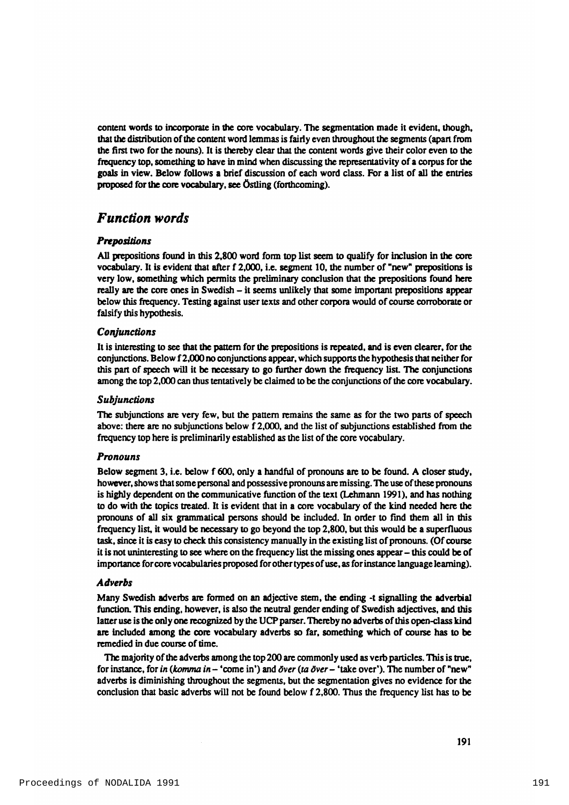content words to incorporate in the core vocabulary. The segmentation made it evident, though, that the distribution of the content word lemmas is fairly even throughout the segments (apart from the first two for the nouns). It is thereby clear that the content words give their color even to the frequency top, something to have in mind when discussing the representativity of a corpus for the goals in view. Below follows a brief discussion of each word class. For a list of all the entries proposed for the core vocabulary, see Östling (forthcoming).

# *Function words*

### *P re p o sitio n s*

All prepositions found in this 2,800 word form top list seem to qualify for inclusion in the core vocabulary. It is evident that after f 2,000, i.e. segment 10, the number of "new" prepositions is very low, something which permits the preliminary conclusion that the prepositions found here really are the core ones in Swedish – it seems unlikely that some important prepositions appear below this frequency. Testing against user texts and other corpora would of course corroborate or falsify this hypothesis.

### *C o n ju n c tio n s*

It is interesting to see that the pattern for the prepositions is repeated, and is even clearer, for the conjunctions. Below f 2,000 no conjunctions appear, which supports the hypothesis that neither for this part of speech will it be necessary to go further down the frequency list. The conjunctions among the top 2,000 can thus tentatively be claimed to be the conjunctions of the core vocabulary.

#### *S u b ju n c tio n s*

The subjunctions are very few, but the pattern remains the same as for the two parts of speech above: there are no subjunctions below  $f$  2,000, and the list of subjunctions established from the frequency top here is preliminarily established as the list of the core vocabulary.

#### *P ro n o u n s*

Below segment 3, i.e. below f 600, only a handful of pronouns are to be found. A closer study, however, shows that some personal and possessive pronouns are missing. The use of these pronouns is highly dependent on the communicative function of the text (Lehmann 1991), and has nothing to do with the topics treated. It is evident that in a core vocabulary of the kind needed here the pronouns of all six grammatical persons should be included. In order to find them all in this frequency list, it would be necessary to go beyond the top 2,800, but this would be a superfluous task, since it is easy to check this consistency manually in the existing list of pronouns. (Of course it is not uninteresting to see where on the frequency list the missing ones appear – this could be of im portance for core vocabularies proposed for other types of use, as for instance language learning).

#### *A d v e rb s*

Many Swedish adverbs are formed on an adjective stem, the ending -t signalling the adverbial function. This ending, however, is also the neutral gender ending of Swedish adjectives, and this latter use is the only one recognized by the UCP parser. Thereby no adverbs of this open-class kind are included among the core vocabulary adverbs so far, something which of course has to be remedied in due course of time.

The majority of the adverbs among the top 200 are commonly used as verb particles. This is true, for instance, for *in (komma in* – 'come in') and *över (ta över* – 'take over'). The number of "new" adverbs is diminishing throughout the segments, but the segmentation gives no evidence for the conclusion that basic adverbs will not be found below f 2,800. Thus the frequency list has to be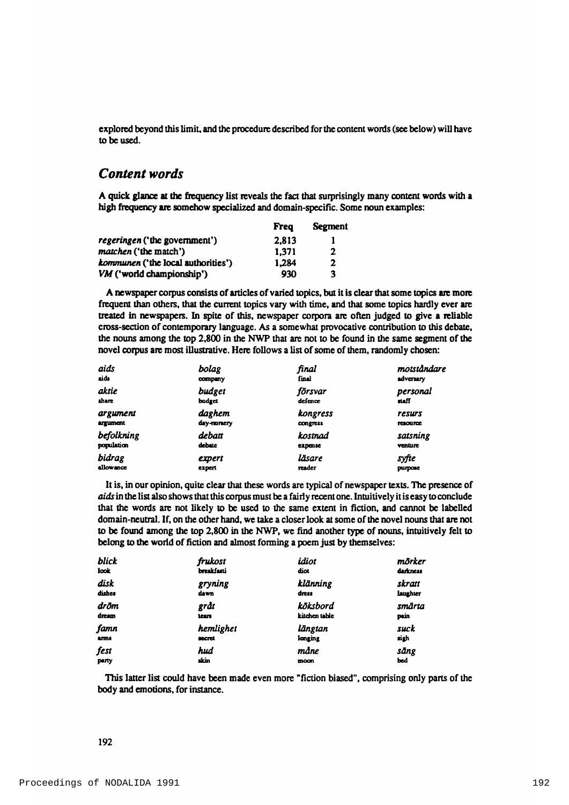explored beyond this limit, and the procedure described for the content words (see below) will have to be used.

# *Content words*

A quick glance at the frequency list reveals the fact that surprisingly many content words with a high frequency are somehow specialized and domain-specific. Some noun examples:

|                                           | <b>Frea</b> | <b>Segment</b> |
|-------------------------------------------|-------------|----------------|
| <i>regeringen</i> ('the government')      | 2.813       |                |
| <i>matchen</i> ('the match')              | 1.371       | 2              |
| <i>kommunen</i> ('the local authorities') | 1.284       | 2              |
| VM ('world championship')                 | 930         | 3              |

A new spaper corpus consists of articles of varied topics, but it is clear that some topics are more frequent than others, that the current topics vary with time, and that some topics hardly ever are treated in new spapers. In spite of this, new spaper corpora are often judged to give a reliable cross-section of contemporary language. As a somewhat provocative contribution to this debate, the nouns among the top 2,800 in the NWP that are not to be found in the same segment of the novel corpus are most illustrative. Here follows a list of some of them, randomly chosen:

| aids            | bolag      | final           | motståndare |
|-----------------|------------|-----------------|-------------|
| aids            | company    | final           | adversary   |
| aktie           | budget     | försvar         | personal    |
| share           | budget     | defence         | naff        |
| argument        | daghem     | kongress        | resurs      |
| <b>argument</b> | day-numery | <b>CONGTESS</b> | resource    |
| befolkning      | debatt     | kostnad         | satsning    |
| population      | debate     | expense         | venture     |
| bidrag          | expert     | läsare          | syfte       |
| allowance       | expert     | reader          | purpose     |

It is, in our opinion, quite clear that these words are typical of newspaper texts. The presence of *aids* in the list also shows that this corpus must be a fairly recent one. Intuitively it is easy to conclude that the words are not likely to be used to the same extent in fiction, and cannot be labelled domain-neutral. If, on the other hand, we take a closer look at some of the novel nouns that are not to be found among the top 2,800 in the NWP, we find another type of nouns, intuitively felt to belong to the world of fiction and almost forming a poem just by themselves:

| blick        | frukost       | idiot        | mörker   |
|--------------|---------------|--------------|----------|
| look         | breakfasti    | diot         | darkness |
| disk         | gryning       | klänning     | skratt   |
| dishes       | dawn          | dress        | laughter |
| dröm         | gråt          | köksbord     | smärta   |
| dream        | team          | küchen table | pain     |
| famn         | hemlighet     | längtan      | suck     |
| <b>ATTN6</b> | <b>SOCTEL</b> | longing      | sigh     |
| fest         | hud           | måne         | säng     |
| party        | skin          | moon         | bed      |

This latter list could have been made even more "fiction biased", comprising only parts of the body and emotions, for instance.

#### 192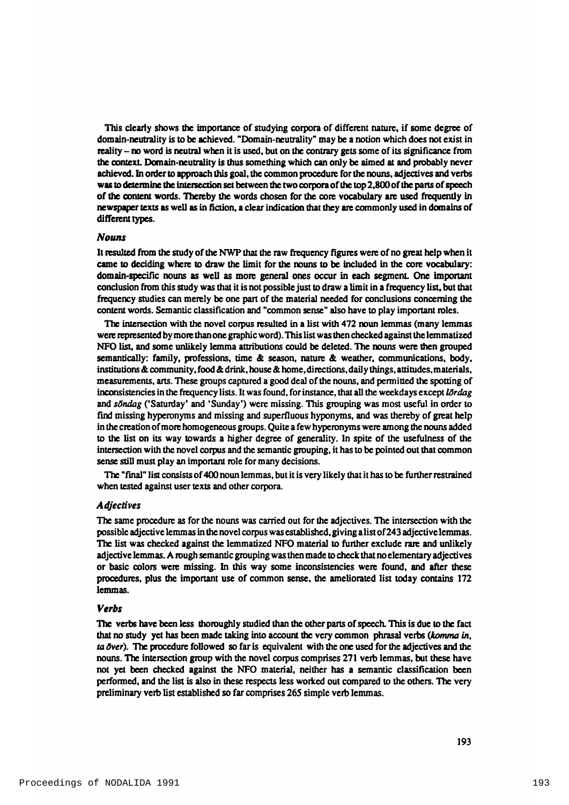This clearly shows the importance of studying corpora of different nature, if some degree of domain-neutrality is to be achieved. "Domain-neutrality" may be a notion which does not exist in reality - no word is neutral when it is used, but on the contrary gets some of its significance from the context. Domain-neutrality is thus something which can only be aimed at and probably never achieved. In order to approach this goal, the common procedure for the nouns, adjectives and verbs was to determine the intersection set between the two corpora of the top 2,800 of the parts of speech of the content words. Thereby the words chosen for the core vocabulary are used frequently in new spaper texts as well as in fiction, a clear indication that they are commonly used in domains of different types.

#### *Nouns*

It resulted from the study of the NWP that the raw frequency figures were of no great help when it came to deciding where to draw the limit for the nouns to be included in the core vocabulary; domain-specific nouns as well as more general ones occur in each segment. One important conclusion from this study was that it is not possible just to draw a limit in a frequency list, but that frequency studies can merely be one part of the material needed for conclusions concerning the content words. Semantic classification and "common sense" also have to play important roles.

The intersection with the novel corpus resulted in a list with 472 noun lemmas (many lemmas were represented by more than one graphic word). This list was then checked against the lemmatized NFO list, and some unlikely lemma attributions could be deleted. The nouns were then grouped sem antically: family, professions, time  $\&$  season, nature  $\&$  weather, communications, body, institutions & community, food & drink, house & home, directions, daily things, attitudes, materials, measurements, arts. These groups captured a good deal of the nouns, and permitted the spotting of inconsistencies in the frequency lists. It was found, for instance, that all the weekdays except *lördag* and *söndag* ('Saturday' and 'Sunday') were missing. This grouping was most useful in order to find missing hyperonyms and missing and superfluous hyponyms, and was thereby of great help in the creation of more homogeneous groups. Quite a few hyperonyms were among the nouns added to the list on its way towards a higher degree of generality. In spite of the usefulness of the intersection with the novel corpus and the sem antic grouping, it has to be pointed out that common sense still must play an important role for many decisions.

The "final" list consists of 400 noun lemmas, but it is very likely that it has to be further restrained when tested against user texts and other corpora.

#### *Adjectives*

The same procedure as for the nouns was carried out for the adjectives. The intersection with the possible adjective lemmas in the novel corpus was established, giving a list of 243 adjective lemmas. The list was checked against the lemmatized NFO material to further exclude rare and unlikely adjective lemmas. A rough semantic grouping was then made to check that no elementary adjectives or basic colors were missing. In this way some inconsistencies were found, and after these procedures, plus the important use of common sense, the ameliorated list today contains 172 lemmas.

#### *Verbs*

The verbs have been less thoroughly studied than the other parts of speech. This is due to the fact that no study yet has been made taking into account the very common phrasal verbs (komma in, *ta över*). The procedure followed so far is equivalent with the one used for the adjectives and the nouns. The intersection group with the novel corpus comprises 271 verb lemmas, but these have not yet been checked against the NFO material, neither has a semantic classification been performed, and the list is also in these respects less worked out compared to the others. The very preliminary verb list established so far comprises 265 simple verb lemmas.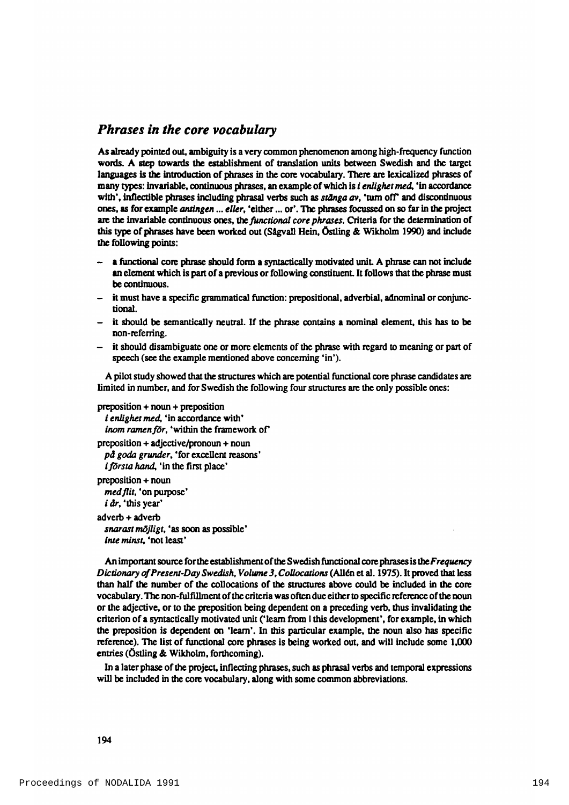### *Phrases in the core vocabulary*

As already pointed out, ambiguity is a very common phenomenon among high-frequency function words. A step towards the establishment of translation units between Swedish and the target languages is the introduction of phrases in the core vocabulary. There are lexicalized phrases of m any types: invariable, continuous phrases, an example of which is *i enlighet med*, 'in accordance with', inflectible phrases including phrasal verbs such as *stänga av*, 'turn off' and discontinuous ones, as for example *antingen* ... *eller*, 'either ... or'. The phrases focussed on so far in the project are the invariable continuous ones, the *functional core phrases*. Criteria for the determination of this type of phrases have been worked out (Sågvall Hein, Östling & Wikholm 1990) and include the following points:

- a functional core phrase should form a syntactically motivated unit. A phrase can not include an element which is part of a previous or following constituent. It follows that the phrase must be continuous.
- it must have a specific grammatical function: prepositional, adverbial, adnominal or conjunctional.
- it should be semantically neutral. If the phrase contains a nominal element, this has to be non-referring.
- $-$  it should disambiguate one or more elements of the phrase with regard to meaning or part of speech (see the example mentioned above concerning 'in').

A pilot study showed that the structures which are potential functional core phrase candidates are limited in number, and for Swedish the following four structures are the only possible ones:

```
preposition + noun + prepositioni enlighet med, 'in accordance with'
 inom ramen för, 'within the framework of'
preposition + adjective/pronoun + noun
 på goda grunder, 'for excellent reasons'
 i första hand, 'in the first place'
preposition + noun
 med flit, 'on purpose'
 i dr, 'this year'
adverb + adverb
 snarast mõjligt, 'as soon as possible'
 inte minst, 'not least'
```
An important source for the establishment of the Swedish functional core phrases is the *Frequency Dictionary of Present-Day Swedish, Volume 3, Collocations* (Allén et al. 1975). It proved that less than half the number of the collocations of the structures above could be included in the core vocabulary. The non-fulfillment of the criteria was often due either to specific reference of the noun or the adjective, or to the preposition being dependent on a preceding verb, thus invalidating the criterion of a syntactically motivated unit ('learn from I this development', for example, in which the preposition is dependent on 'learn'. In this particular example, the noun also has specific reference). The list of functional core phrases is being worked out, and will include some 1,000 entries (Östling  $\&$  Wikholm, forthcoming).

In a later phase of the project, inflecting phrases, such as phrasal verbs and temporal expressions will be included in the core vocabulary, along with some common abbreviations.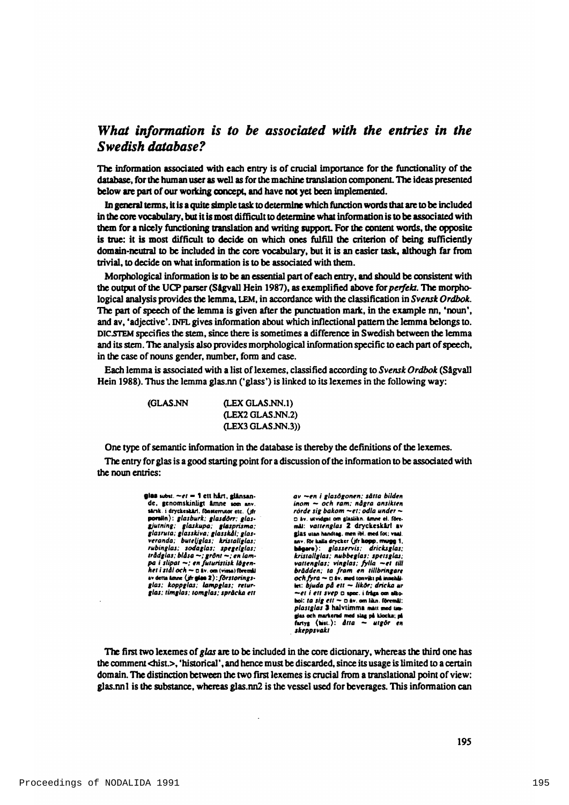# *What information is to be associated with the entries in the Swedish database?*

The information associated with each entry is of crucial importance for the functionality of the database, for the human user as well as for the machine translation component. The ideas presented below are part of our working concept, and have not yet been implemented.

In general terms, it is a quite simple task to determine which function words that are to be included in the core vocabulary, but it is most difficult to determine what information is to be associated with them for a nicely functioning translation and writing support. For the content words, the opposite is true: it is most difficult to decide on which ones fulfill the criterion of being sufficiently domain-neutral to be included in the core vocabulary, but it is an easier task, although far from trivial, to decide on what information is to be associated with them.

Morphological information is to be an essential part of each entry, and should be consistent with the output of the UCP parser (Sågvall Hein 1987), as exemplified above for *perfekt*. The morphological analysis provides the lemma, LEM, in accordance with the classification in *Svensk Ordbok*. The part of speech of the lemma is given after the punctuation mark, in the example  $\text{m}$ , 'noun', and av, 'adjective'. INFL gives information about which inflectional pattern the lemma belongs to. DIC.STEM specifies the stem, since there is sometimes a difference in Swedish between the lemma and its stem. The analysis also provides morphological information specific to each part of speech, in the case of nouns gender, number, form and case.

Each lemma is associated with a list of lexemes, classified according to *Svensk Ordbok* (Sågvall Hein 1988). Thus the lemma glas.nn ('glass') is linked to its lexemes in the following way:

(GLAS.NN (LEX GLAS.NN.1)

One type of semantic information in the database is thereby the definitions of the lexemes.

(LEX2 GLAS NN.2) (LEX3 GLAS.NN.3))

The entry for glas is a good starting point for a discussion of the information to be associated with the noun entries:

> **glas** uibit. *—et* - 1 eti hin, gUnsande, genomskinligt ämne som anv. sarsk. i dryckeskarl. fönsterrutor etc. (ifr porslin): glasburk; glasdorr; glas*gjutning; glaskupa; glasprism a; glasruta; glasskiva; glasskål; glas-veranda; buleUglas; kristallglas; rubinglas; sodaglas; spegelglas: trädglas; blåsa ~; grönt ~; en lam-*<br>*pa i slipat ~; en futuristisk lägen-*<br>*het i stål och ~* 0 śv. on (vins) (bremii<br>sv detta lame (*jfrglas* 2) : *förstorings-*<br>g*las; koppglas; lampglas; returglas; timglas; tom glas; spräcka ett*

*a v ~ e n i glasögonen; såtta bilden inom* — *och ram ; några ansikten rörde sig bakom —et; odla under —* □ äv. utvidgat om glaslikn. ämne el. föreml): *vattenglas 2* dryckeskirl av glas utan handtag, men ibl. med fot; vaal. anv. för kalla drycker (jfr kopp, mugg 1, bågara): *glasservis; dricksglas; kristallglas; nubbeglas; spetsglas; vattenglas; vinglas; fylla —et till* **brädden; ta fram en tillbringare**  $och$   $frac$   $\sim$   $\Box$  iv. med tonvikt pl inachillet: *bjuda p å e tt — likör; dricka ur —et i e tt svep* □ epec. i M gt om alkohol: *ta sig ett* ~  $\Box$  iv. om likn. föremål: plastglas 3 halvtimma mait med timglai och markerad med iU | pt klocka; pl firtyi (hiei.): *åtta — utgör en skeppsvakt*

The first two lexemes of *glas* are to be included in the core dictionary, whereas the third one has the comment <hist.>, 'historical', and hence must be discarded, since its usage is limited to a certain domain. The distinction between the two first lexemes is crucial from a translational point of view: glas.nn1 is the substance, whereas glas.nn2 is the vessel used for beverages. This information can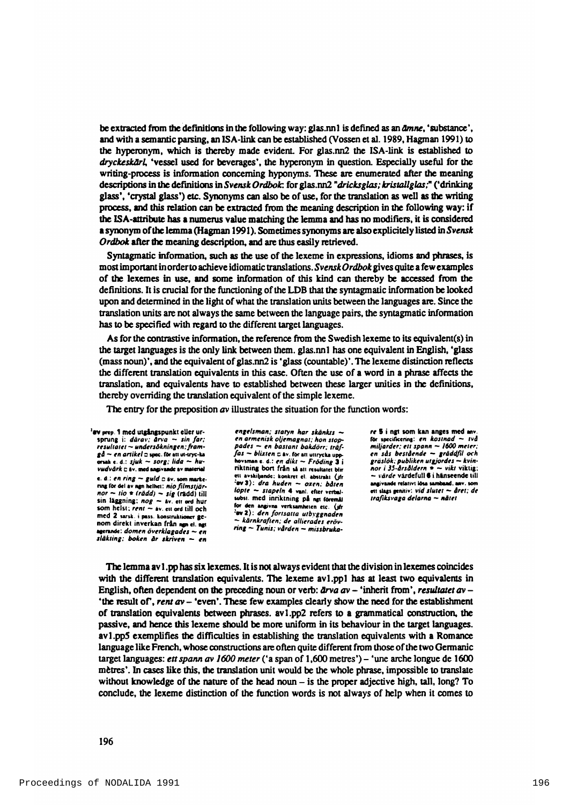be extracted from the definitions in the following way: glas.nn1 is defined as an *dmne*, 'substance', and with a sem antic parsing, an ISA-link can be established (Vossen et al. 1989, Hagman 1991) to the hyperonym, which is thereby made evident. For glas.nn2 the ISA-link is established to *dryckeskärl*, 'vessel used for beverages', the hyperonym in question. Especially useful for the writing-process is information concerning hyponyms. These are enumerated after the meaning descriptions in the definitions in *Svensk Ordbok*: for glas.nn2 "dricksglas; kristallglas;" ('drinking glass', 'crystal glass') etc. Synonyms can also be of use, for the translation as well as the writing process, and this relation can be extracted from the meaning description in the following way: if the ISA-attribute has a numerus value matching the lemma and has no modifiers, it is considered a synonym of the lemma (Hagman 1991). Sometimes synonyms are also explicitely listed in *Svensk Ordbok* after the meaning description, and are thus easily retrieved.

Syntagmatic information, such as the use of the lexeme in expressions, idioms and phrases, is m ost important in order to achieve idiomatic translations. *Svensk Ordbok* gives quite a few examples of the lexemes in use, and some information of this kind can thereby be accessed from the definitions. It is crucial for the functioning of the LDB that the syntagmatic information be looked upon and determined in the light of what the translation units between the languages are. Since the translation units are not always the same between the language pairs, the syntagmatic information has to be specified with regard to the different target languages.

As for the contrastive information, the reference from the Swedish lexeme to its equivalent(s) in the target languages is the only link between them, glas.nn l has one equivalent in English, 'glass (mass noun)', and the equivalent of glas.nn2 is 'glass (countable)'. The lexeme distinction reflects the different translation equivalents in this case. Often the use of a word in a phrase affects the translation, and equivalents have to established between these larger unities in the definitions, thereby overriding the translation equivalent of the simple lexeme.

The entry for the preposition  $a\mathbf{v}$  illustrates the situation for the function words:

'ev prep. 1 med utgångspunkt eller ursprung i; *därav: ärva — sin far; resultatet* — *undersökningen; fra m*   $gd \sim en$  artikel z spec. for an ut-uye-ka onak c. d.: *sjuk — sorg; lida — huvudvärk* c iv. med angivande av material e. d.:  $en$  ring  $\sim$  guld  $c$  iv. som markering för del av ngn helhet: nio filmstjär*nor — tio \* (rädd) - sig* (riidd) (ill sin läggning: *nog —* iv. cii ord hur som helst; *rent* — iv. cii ord till och med 2 sarsk. i pass. konstruktioner genom direkt inverkan från non el. nat aecrandc; *dom en överklagades* ~ *en släkting; boken å r skriven* — *en*

*engelsm an; statyn ka r skänkts en arm enisk oljem agnat; hon stoppades — en bastant bakdörr; träf* $fas - blixten \ncx$  iv. for att uttrycka upphovsman e. d.; *en dikt – Fröding* 3 i<br>riktning bort från så att resultatet blir ett avskiljande: konkret el. abitrakt (ifr  $-e$ **v** 3): *dra huden* – oxen; *båten löpte – stapeln* 4 vuni. efter verbalsubst. med inriktning på ngt föremål for den angivna verksamheten etc. (jfr  $\texttt{`ev 2}:$  den fortsatta utbyggnaden — *kärnkraften; de allierades eröv* $ring - T$ *unis*; vården - missbruka*re i i ngt* som kan anges med anv. för tpeciricchni: *en kostnad* — *två miljarder; ett spann — 1600 meter; en sås bestående* — *gräddfil och gräslök; publiken utgjordes* — *kvin-nor i 35-årsåldern* \* ~ *vikt* viktig; ~ *värde* värdefull 4 i hinseende till angivande relativt lösa samband, anv. t d t Ilagt genitiv; *vid slutet* \*- *året; de trafiksvaga delarna — nätet*

The lemma av 1.pp has six lexemes. It is not always evident that the division in lexemes coincides with the different translation equivalents. The lexeme av1.pp1 has at least two equivalents in English, often dependent on the preceding noun or verb:  $\frac{\partial \psi}{\partial x}$  av - 'inherit from', *resultatet av* -'the result of', *rent av*  $-$  'even'. These few examples clearly show the need for the establishment of translation equivalents between phrases.  $av1.pop$  refers to a grammatical construction, the passive, and hence this lexeme should be more uniform in its behaviour in the target languages. av 1.p p S exemplifies the difficulties in establishing the translation equivalents with a Romance language like French, whose constructions are often quite different from those of the two Germanic target languages: *ett spann av 1600 meter* ('a span of 1,600 metres') - 'une arche longue de 1600 mètres'. In cases like this, the translation unit would be the whole phrase, impossible to translate without knowledge of the nature of the head noun  $-$  is the proper adjective high, tall, long? To conclude, the lexeme distinction of the function words is not always of help when it comes to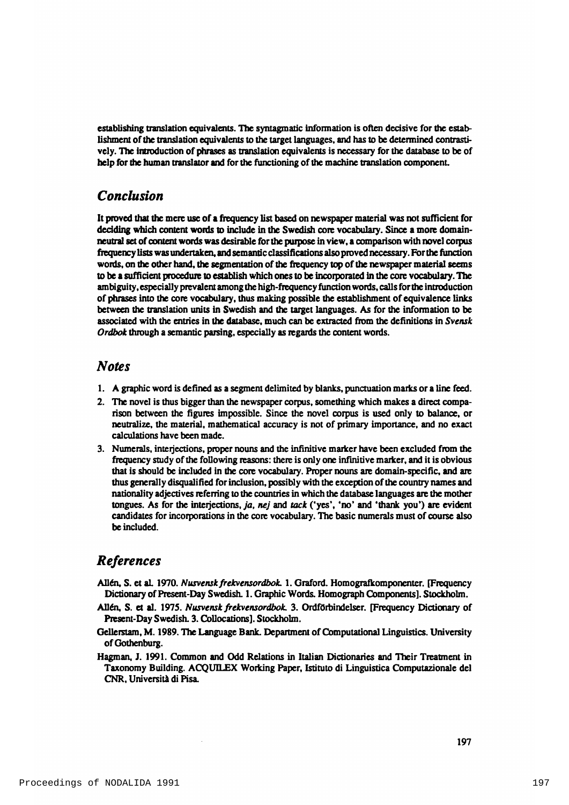establishing translation equivalents. The syntagmatic information is often decisive for the establishment of the translation equivalents to the target languages, and has to be determined contrastively. The introduction of phrases as translation equivalents is necessary for the database to be of help for the human translator and for the functioning of the machine translation component.

# *Conclusion*

It proved that the mere use of a frequency list based on newspaper material was not sufficient for deciding which content words to include in the Swedish core vocabulary. Since a more domainneutral set of content words was desirable for the purpose in view, a comparison with novel corpus frequency lists was undertaken, and sem antic classifications also proved necessary. For the function words, on the other hand, the segmentation of the frequency top of the newspaper material seems to be a sufficient procedure to establish which ones to be incorporated in the core vocabulary. The am biguity, especially prevalent among the high-frequency function words, calls for the introduction of phrases into the core vocabulary, thus making possible the establishment of equivalence links between the translation units in Swedish and the target languages. As for the information to be associated with the entries in the database, much can be extracted from the definitions in *Svensk Ordbok* through a semantic parsing, especially as regards the content words.

### *Notes*

- 1. A graphic word is defined as a segment delimited by blanks, punctuation marks or a line feed.
- 2. The novel is thus bigger than the newspaper corpus, something which makes a direct comparison between the figures impossible. Since the novel corpus is used only to balance, or neutralize, the material, mathematical accuracy is not of primary importance, and no exact calculations have been made.
- 3. Numerals, interjections, proper nouns and the infinitive marker have been excluded from the frequency study of the following reasons: there is only one infinitive marker, and it is obvious that is should be included in the core vocabulary. Proper nouns are domain-specific, and are thus generally disqualified for inclusion, possibly with the exception of the country names and nationality adjectives referring to the countries in which the database languages are the mother tongues. As for the interjections, *ja*, *nej* and *tack* ('yes', 'no' and 'thank you') are evident candidates for incorporations in the core vocabulary. The basic numerals must of course also be included.

# *References*

- Allén, S. et al. 1970. *Nusvensk frekvensordbok.* 1. Graford. Homografkomponenter. [Frequency Dictionary of Present-Day Swedish. 1. Graphic Words. Homograph Components]. Stockholm.
- Allén, S. et al. 1975. *Nusvensk frekvensordbok*. 3. Ordförbindelser. [Frequency Dictionary of Present-Day Swedish. 3. Collocations]. Stockholm.
- Gellerstam, M. 1989. The Language Bank. Department of Computational Linguistics. University of Gothenburg.
- Hagman, J. 1991. Common and Odd Relations in Italian Dictionaries and Their Treatment in Taxonomy Building. ACQUILEX Working Paper, Istituto di Linguistica Computazionale del CNR. Università di Pisa.